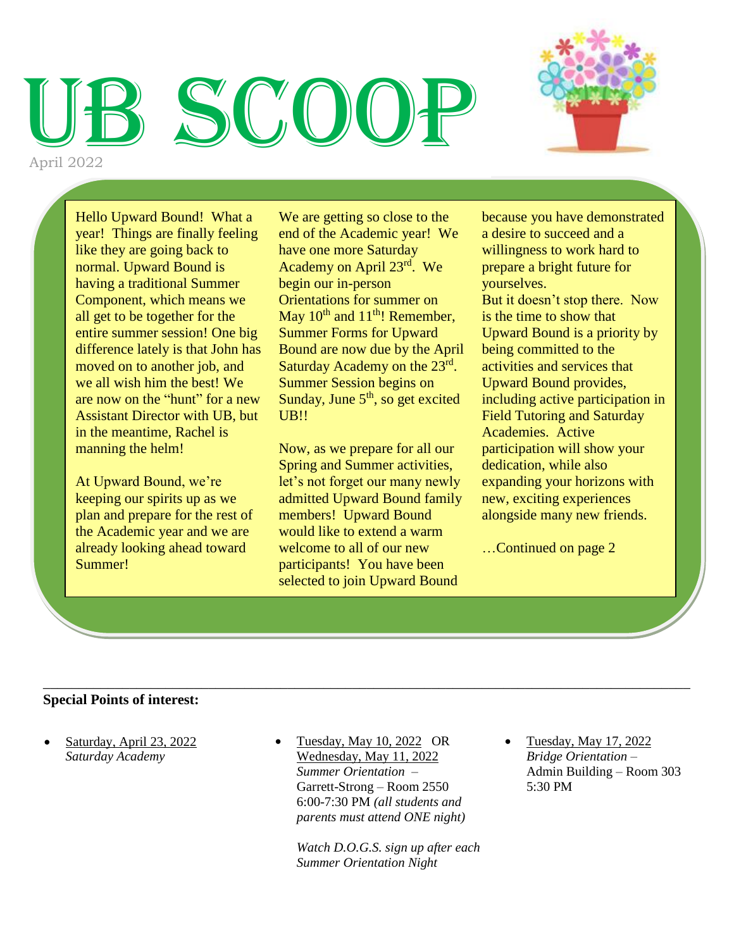# SCO D April 2022



Hello Upward Bound! What a year! Things are finally feeling like they are going back to normal. Upward Bound is having a traditional Summer Component, which means we all get to be together for the entire summer session! One big difference lately is that John has moved on to another job, and we all wish him the best! We are now on the "hunt" for a new Assistant Director with UB, but in the meantime, Rachel is manning the helm!

At Upward Bound, we're keeping our spirits up as we plan and prepare for the rest of the Academic year and we are already looking ahead toward Summer!

We are getting so close to the end of the Academic year! We have one more Saturday Academy on April 23<sup>rd</sup>. We begin our in-person Orientations for summer on May  $10^{th}$  and  $11^{th}$ ! Remember, Summer Forms for Upward Bound are now due by the April Saturday Academy on the 23<sup>rd</sup>. Summer Session begins on Sunday, June  $5<sup>th</sup>$ , so get excited UB!!

Now, as we prepare for all our Spring and Summer activities, let's not forget our many newly admitted Upward Bound family members! Upward Bound would like to extend a warm welcome to all of our new participants! You have been selected to join Upward Bound

because you have demonstrated a desire to succeed and a willingness to work hard to prepare a bright future for yourselves. But it doesn't stop there. Now is the time to show that Upward Bound is a priority by being committed to the activities and services that Upward Bound provides, including active participation in Field Tutoring and Saturday Academies. Active participation will show your dedication, while also expanding your horizons with new, exciting experiences alongside many new friends.

…Continued on page 2

#### **Special Points of interest:**

- Saturday, April 23, 2022 *Saturday Academy*
- Tuesday, May 10, 2022 OR Wednesday, May 11, 2022 *Summer Orientation –* Garrett-Strong – Room 2550 6:00-7:30 PM *(all students and parents must attend ONE night)*

\_\_\_\_\_\_\_\_\_\_\_\_\_\_\_\_\_\_\_\_\_\_\_\_\_\_\_\_\_\_\_\_\_\_\_\_\_\_\_\_\_\_\_\_\_\_\_\_\_\_\_\_\_\_\_\_\_\_\_\_\_\_\_\_\_\_\_\_\_\_\_\_\_\_\_\_\_\_\_\_\_\_\_\_\_\_\_\_\_\_

*Watch D.O.G.S. sign up after each Summer Orientation Night*

• Tuesday, May 17, 2022 *Bridge Orientation –* Admin Building – Room 303 5:30 PM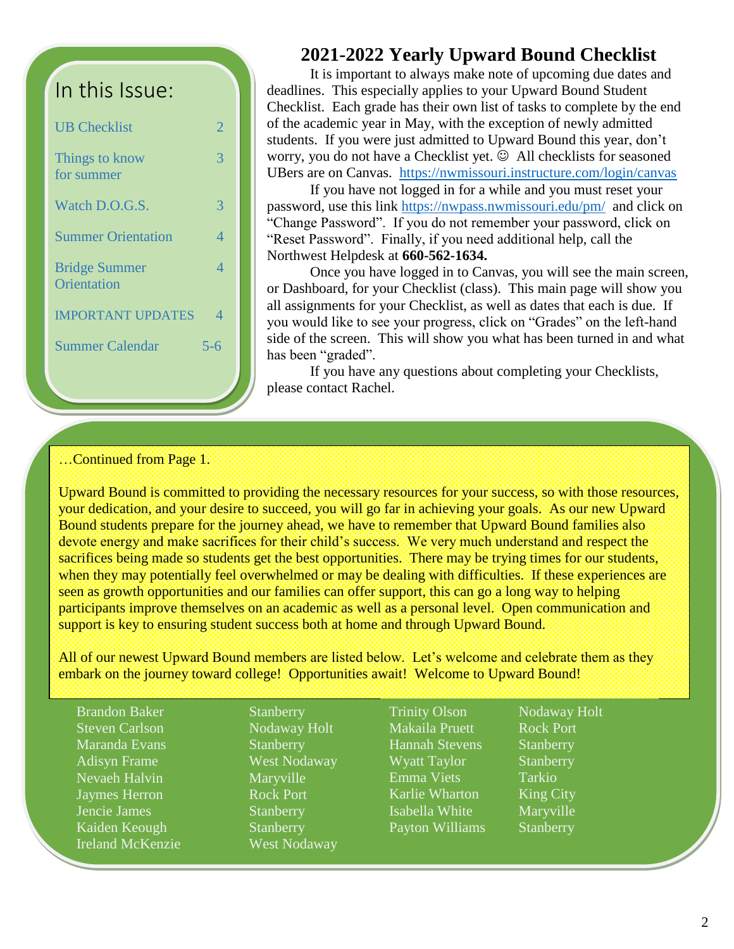# In this Issue:

| <b>UB</b> Checklist                 | 2   |
|-------------------------------------|-----|
| Things to know<br>for summer        | 3   |
| Watch D.O.G.S.                      | 3   |
| <b>Summer Orientation</b>           | 4   |
| <b>Bridge Summer</b><br>Orientation | 4   |
| <b>IMPORTANT UPDATES</b>            | 4   |
| <b>Summer Calendar</b>              | 5-6 |
|                                     |     |

## **2021-2022 Yearly Upward Bound Checklist**

It is important to always make note of upcoming due dates and deadlines. This especially applies to your Upward Bound Student Checklist. Each grade has their own list of tasks to complete by the end of the academic year in May, with the exception of newly admitted students. If you were just admitted to Upward Bound this year, don't worry, you do not have a Checklist yet.  $\odot$  All checklists for seasoned UBers are on Canvas. <https://nwmissouri.instructure.com/login/canvas>

If you have not logged in for a while and you must reset your password, use this link<https://nwpass.nwmissouri.edu/pm/>and click on "Change Password". If you do not remember your password, click on "Reset Password". Finally, if you need additional help, call the Northwest Helpdesk at **660-562-1634.**

Once you have logged in to Canvas, you will see the main screen, or Dashboard, for your Checklist (class). This main page will show you all assignments for your Checklist, as well as dates that each is due. If you would like to see your progress, click on "Grades" on the left-hand side of the screen. This will show you what has been turned in and what has been "graded".

If you have any questions about completing your Checklists, please contact Rachel.

#### …Continued from Page 1.

Upward Bound is committed to providing the necessary resources for your success, so with those resources, your dedication, and your desire to succeed, you will go far in achieving your goals. As our new Upward Bound students prepare for the journey ahead, we have to remember that Upward Bound families also devote energy and make sacrifices for their child's success. We very much understand and respect the sacrifices being made so students get the best opportunities. There may be trying times for our students, when they may potentially feel overwhelmed or may be dealing with difficulties. If these experiences are seen as growth opportunities and our families can offer support, this can go a long way to helping participants improve themselves on an academic as well as a personal level. Open communication and support is key to ensuring student success both at home and through Upward Bound.

All of our newest Upward Bound members are listed below. Let's welcome and celebrate them as they embark on the journey toward college! Opportunities await! Welcome to Upward Bound!

Brandon Baker Stanberry Steven Carlson Nodaway Holt Maranda Evans Stanberry Adisyn Frame West Nodaway Nevaeh Halvin Maryville **Jaymes Herron** Rock Port Jencie James Stanberry Kaiden Keough Stanberry Ireland McKenzie West Nodaway

Trinity Olson Nodaway Holt Makaila Pruett Rock Port Hannah Stevens Stanberry Wyatt Taylor Stanberry Emma Viets Tarkio Karlie Wharton King City Isabella White Maryville Payton Williams Stanberry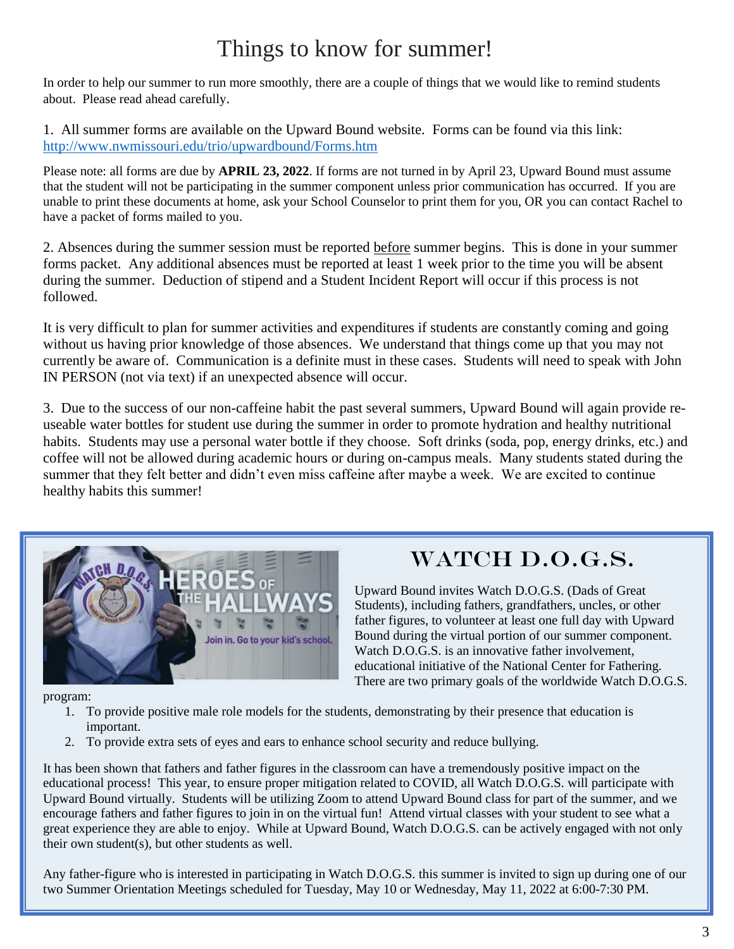# Things to know for summer!

In order to help our summer to run more smoothly, there are a couple of things that we would like to remind students about. Please read ahead carefully.

1. All summer forms are available on the Upward Bound website. Forms can be found via this link: <http://www.nwmissouri.edu/trio/upwardbound/Forms.htm>

Please note: all forms are due by **APRIL 23, 2022**. If forms are not turned in by April 23, Upward Bound must assume that the student will not be participating in the summer component unless prior communication has occurred. If you are unable to print these documents at home, ask your School Counselor to print them for you, OR you can contact Rachel to have a packet of forms mailed to you.

2. Absences during the summer session must be reported before summer begins. This is done in your summer forms packet. Any additional absences must be reported at least 1 week prior to the time you will be absent during the summer. Deduction of stipend and a Student Incident Report will occur if this process is not followed.

It is very difficult to plan for summer activities and expenditures if students are constantly coming and going without us having prior knowledge of those absences. We understand that things come up that you may not currently be aware of. Communication is a definite must in these cases. Students will need to speak with John IN PERSON (not via text) if an unexpected absence will occur.

3. Due to the success of our non-caffeine habit the past several summers, Upward Bound will again provide reuseable water bottles for student use during the summer in order to promote hydration and healthy nutritional habits. Students may use a personal water bottle if they choose. Soft drinks (soda, pop, energy drinks, etc.) and coffee will not be allowed during academic hours or during on-campus meals. Many students stated during the summer that they felt better and didn't even miss caffeine after maybe a week. We are excited to continue healthy habits this summer!



# WATCH D.O.G.S.

Upward Bound invites Watch D.O.G.S. (Dads of Great Students), including fathers, grandfathers, uncles, or other father figures, to volunteer at least one full day with Upward Bound during the virtual portion of our summer component. Watch D.O.G.S. is an innovative father involvement, educational initiative of the National Center for Fathering. There are two primary goals of the worldwide Watch D.O.G.S.

program:

- 1. To provide positive male role models for the students, demonstrating by their presence that education is important.
- 2. To provide extra sets of eyes and ears to enhance school security and reduce bullying.

It has been shown that fathers and father figures in the classroom can have a tremendously positive impact on the educational process! This year, to ensure proper mitigation related to COVID, all Watch D.O.G.S. will participate with Upward Bound virtually. Students will be utilizing Zoom to attend Upward Bound class for part of the summer, and we encourage fathers and father figures to join in on the virtual fun! Attend virtual classes with your student to see what a great experience they are able to enjoy. While at Upward Bound, Watch D.O.G.S. can be actively engaged with not only their own student(s), but other students as well.

Any father-figure who is interested in participating in Watch D.O.G.S. this summer is invited to sign up during one of our two Summer Orientation Meetings scheduled for Tuesday, May 10 or Wednesday, May 11, 2022 at 6:00-7:30 PM.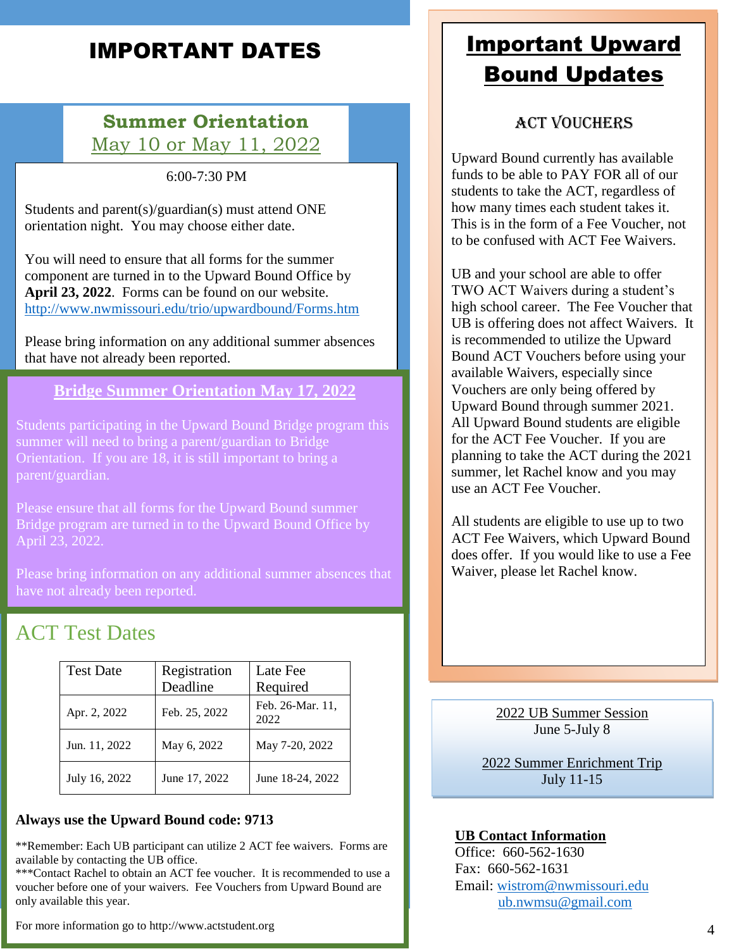# IMPORTANT DATES

# **Summer Orientation** May 10 or May 11, 2022

6:00-7:30 PM

Students and parent(s)/guardian(s) must attend ONE orientation night. You may choose either date.

You will need to ensure that all forms for the summer component are turned in to the Upward Bound Office by **April 23, 2022**. Forms can be found on our website. <http://www.nwmissouri.edu/trio/upwardbound/Forms.htm>

Please bring information on any additional summer absences that have not already been reported.

**Bridge Summer Orientation May 17, 2022**

Students participating in the Upward Bound Bridge program this summer will need to bring a parent/guardian to Bridge Orientation. If you are 18, it is still important to bring a parent/guardian.

Please ensure that all forms for the Upward Bound summer Bridge program are turned in to the Upward Bound Office by April 23, 2022.

Please bring information on any additional summer absences that have not already been reported.

# ACT Test Dates

| <b>Test Date</b> | Registration  | Late Fee                 |
|------------------|---------------|--------------------------|
|                  | Deadline      | Required                 |
| Apr. 2, 2022     | Feb. 25, 2022 | Feb. 26-Mar. 11.<br>2022 |
| Jun. 11, 2022    | May 6, 2022   | May 7-20, 2022           |
| July 16, 2022    | June 17, 2022 | June 18-24, 2022         |

#### **Always use the Upward Bound code: 9713**

\*\*Remember: Each UB participant can utilize 2 ACT fee waivers. Forms are available by contacting the UB office.

\*\*\*Contact Rachel to obtain an ACT fee voucher. It is recommended to use a voucher before one of your waivers. Fee Vouchers from Upward Bound are only available this year.

For more information go to http://www.actstudent.org

# Important Upward Bound Updates

## ACT Vouchers

Upward Bound currently has available funds to be able to PAY FOR all of our students to take the ACT, regardless of how many times each student takes it. This is in the form of a Fee Voucher, not to be confused with ACT Fee Waivers.

UB and your school are able to offer TWO ACT Waivers during a student's high school career. The Fee Voucher that UB is offering does not affect Waivers. It is recommended to utilize the Upward Bound ACT Vouchers before using your available Waivers, especially since Vouchers are only being offered by Upward Bound through summer 2021. All Upward Bound students are eligible for the ACT Fee Voucher. If you are planning to take the ACT during the 2021 summer, let Rachel know and you may use an ACT Fee Voucher.

All students are eligible to use up to two ACT Fee Waivers, which Upward Bound does offer. If you would like to use a Fee Waiver, please let Rachel know.

> 2022 UB Summer Session June 5-July 8

2022 Summer Enrichment Trip July 11-15

#### **UB Contact Information**

Office: 660-562-1630 Fax: 660-562-1631 Email: [wistrom@nwmissouri.edu](mailto:wistrom@nwmissouri.edu) [ub.nwmsu@gmail.com](mailto:ub.nwmsu@gmail.com)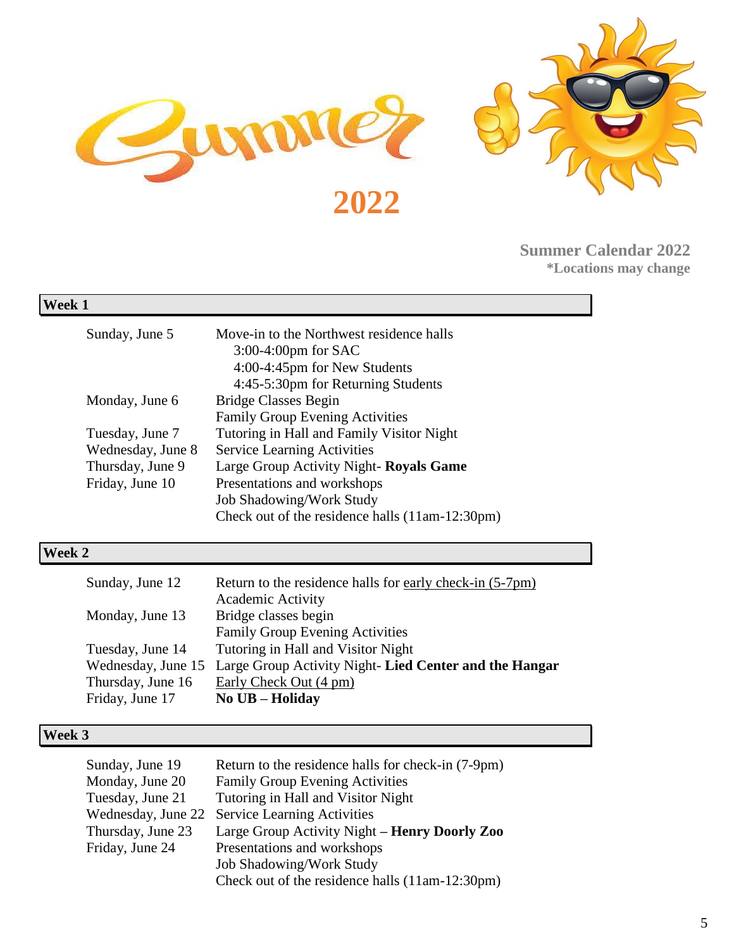



**Summer Calendar 2022 \*Locations may change**

## **Week 1**

| Sunday, June 5                       | Move-in to the Northwest residence halls<br>$3:00-4:00$ pm for SAC<br>4:00-4:45pm for New Students<br>4:45-5:30pm for Returning Students                     |
|--------------------------------------|--------------------------------------------------------------------------------------------------------------------------------------------------------------|
| Monday, June 6                       | <b>Bridge Classes Begin</b><br><b>Family Group Evening Activities</b>                                                                                        |
| Tuesday, June 7<br>Wednesday, June 8 | Tutoring in Hall and Family Visitor Night<br><b>Service Learning Activities</b>                                                                              |
| Thursday, June 9<br>Friday, June 10  | Large Group Activity Night- Royals Game<br>Presentations and workshops<br><b>Job Shadowing/Work Study</b><br>Check out of the residence halls (11am-12:30pm) |

# **Week 2**

| Sunday, June 12   | Return to the residence halls for early check-in (5-7pm)                 |
|-------------------|--------------------------------------------------------------------------|
|                   | <b>Academic Activity</b>                                                 |
| Monday, June 13   | Bridge classes begin                                                     |
|                   | <b>Family Group Evening Activities</b>                                   |
| Tuesday, June 14  | Tutoring in Hall and Visitor Night                                       |
|                   | Wednesday, June 15 Large Group Activity Night-Lied Center and the Hangar |
| Thursday, June 16 | Early Check Out (4 pm)                                                   |
| Friday, June 17   | No UB - Holiday                                                          |

## **Week 3**

| Sunday, June 19    | Return to the residence halls for check-in (7-9pm) |
|--------------------|----------------------------------------------------|
| Monday, June 20    | <b>Family Group Evening Activities</b>             |
| Tuesday, June 21   | Tutoring in Hall and Visitor Night                 |
| Wednesday, June 22 | <b>Service Learning Activities</b>                 |
| Thursday, June 23  | Large Group Activity Night – Henry Doorly Zoo      |
| Friday, June 24    | Presentations and workshops                        |
|                    | <b>Job Shadowing/Work Study</b>                    |
|                    | Check out of the residence halls (11am-12:30pm)    |